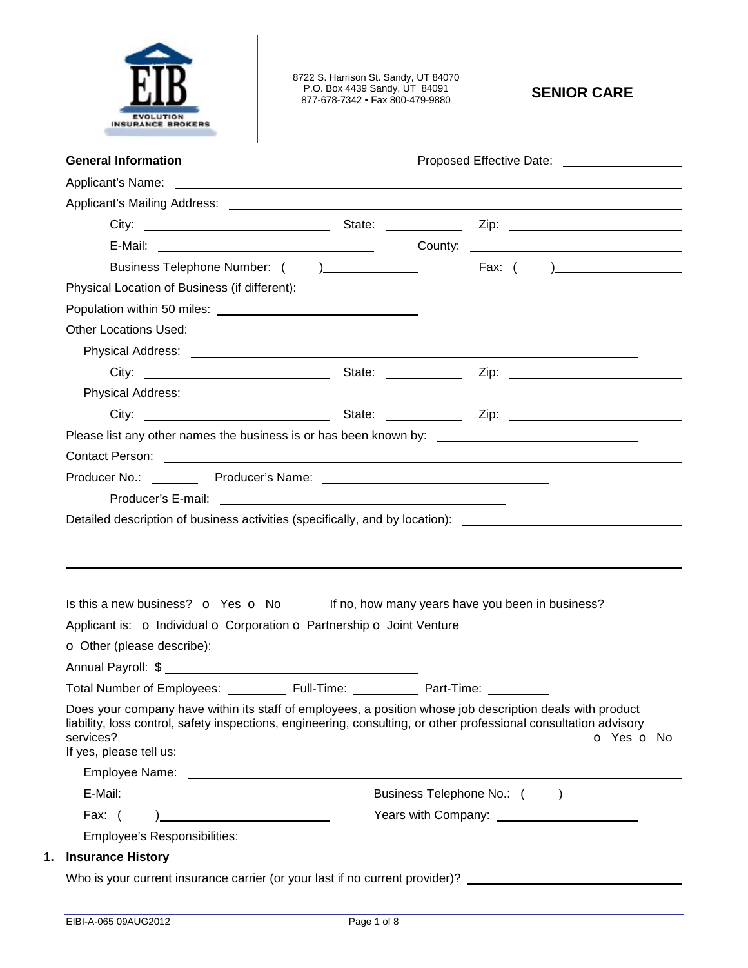

8722 S. Harrison St. Sandy, UT 84070 P.O. Box 4439 Sandy, UT 84091 877-678-7342 • Fax 800-479-9880 **SENIOR CARE** 

| <b>General Information</b>                                                                                                                                                                                                                                                                                                                                                     |            | Proposed Effective Date: <u>[1984]</u> |                             |
|--------------------------------------------------------------------------------------------------------------------------------------------------------------------------------------------------------------------------------------------------------------------------------------------------------------------------------------------------------------------------------|------------|----------------------------------------|-----------------------------|
|                                                                                                                                                                                                                                                                                                                                                                                |            |                                        |                             |
|                                                                                                                                                                                                                                                                                                                                                                                |            |                                        |                             |
|                                                                                                                                                                                                                                                                                                                                                                                |            |                                        |                             |
|                                                                                                                                                                                                                                                                                                                                                                                |            |                                        |                             |
| Business Telephone Number: () _______________                                                                                                                                                                                                                                                                                                                                  |            |                                        |                             |
|                                                                                                                                                                                                                                                                                                                                                                                |            |                                        |                             |
|                                                                                                                                                                                                                                                                                                                                                                                |            |                                        |                             |
| <b>Other Locations Used:</b>                                                                                                                                                                                                                                                                                                                                                   |            |                                        |                             |
|                                                                                                                                                                                                                                                                                                                                                                                |            |                                        |                             |
|                                                                                                                                                                                                                                                                                                                                                                                |            |                                        |                             |
|                                                                                                                                                                                                                                                                                                                                                                                |            |                                        |                             |
|                                                                                                                                                                                                                                                                                                                                                                                |            |                                        |                             |
|                                                                                                                                                                                                                                                                                                                                                                                |            |                                        |                             |
|                                                                                                                                                                                                                                                                                                                                                                                |            |                                        |                             |
| Detailed description of business activities (specifically, and by location): ________________________________<br>Is this a new business? $\bullet$ Yes $\bullet$ No If no, how many years have you been in business?                                                                                                                                                           |            |                                        |                             |
| Applicant is: o Individual o Corporation o Partnership o Joint Venture                                                                                                                                                                                                                                                                                                         |            |                                        |                             |
|                                                                                                                                                                                                                                                                                                                                                                                |            |                                        |                             |
|                                                                                                                                                                                                                                                                                                                                                                                |            | Part-Time:                             |                             |
| <b>Total Number of Employees:</b><br>Does your company have within its staff of employees, a position whose job description deals with product<br>liability, loss control, safety inspections, engineering, consulting, or other professional consultation advisory<br>services?<br>If yes, please tell us:                                                                    | Full-Time: |                                        | o Yes o No                  |
|                                                                                                                                                                                                                                                                                                                                                                                |            |                                        |                             |
|                                                                                                                                                                                                                                                                                                                                                                                |            |                                        | Business Telephone No.: ( ) |
| Fax: $($<br>$\begin{picture}(20,20)(-0.0,0.0) \put(0,0){\dashbox{0.5}(20,0){ }} \put(15,0){\dashbox{0.5}(20,0){ }} \put(15,0){\dashbox{0.5}(20,0){ }} \put(15,0){\dashbox{0.5}(20,0){ }} \put(15,0){\dashbox{0.5}(20,0){ }} \put(15,0){\dashbox{0.5}(20,0){ }} \put(15,0){\dashbox{0.5}(20,0){ }} \put(15,0){\dashbox{0.5}(20,0){ }} \put(15,0){\dashbox{0.5}(20,0){ }} \put($ |            |                                        |                             |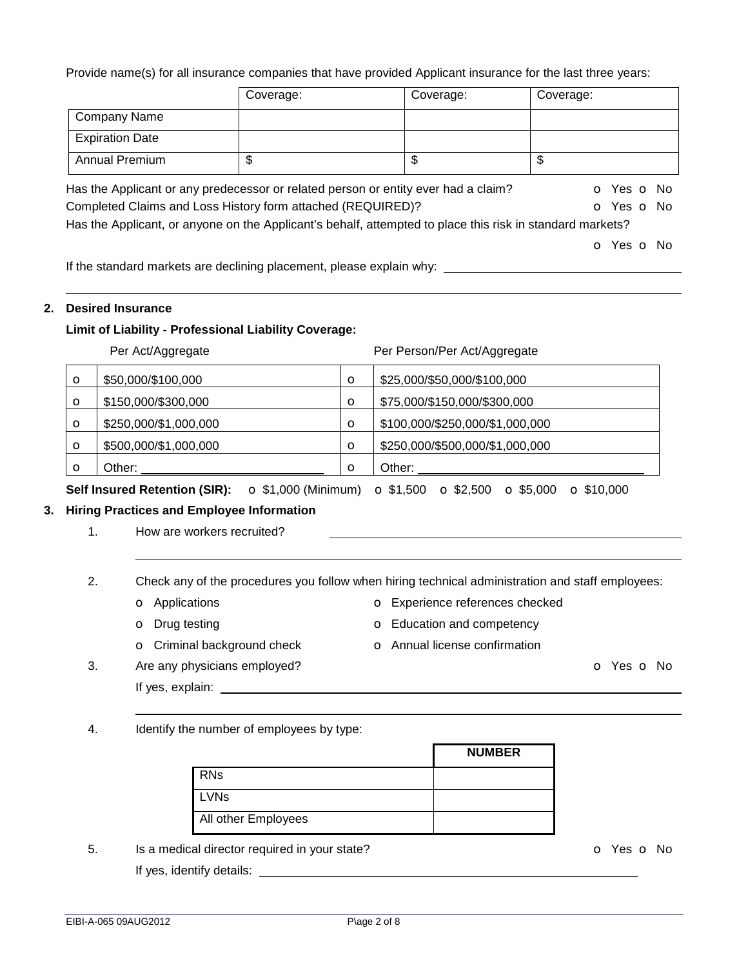Provide name(s) for all insurance companies that have provided Applicant insurance for the last three years:

|                        | Coverage:                                                                                                      | Coverage: | Coverage:  |
|------------------------|----------------------------------------------------------------------------------------------------------------|-----------|------------|
| <b>Company Name</b>    |                                                                                                                |           |            |
| <b>Expiration Date</b> |                                                                                                                |           |            |
| Annual Premium         | \$                                                                                                             | \$        | \$         |
|                        | Has the Applicant or any predecessor or related person or entity ever had a claim?                             |           | o Yes o No |
|                        | Completed Claims and Loss History form attached (REQUIRED)?                                                    |           | O Yes O No |
|                        | Has the Applicant, or anyone on the Applicant's behalf, attempted to place this risk in standard markets?      |           |            |
|                        |                                                                                                                |           | O Yes O No |
|                        | 16 de xera en 1950, la seu desde seus entre 1959 en la consegue de la consegue de la facta de la facta de la c |           |            |

If the standard markets are declining placement, please explain why:

# **2. Desired Insurance**

### **Limit of Liability - Professional Liability Coverage:**

Per Act/Aggregate **Per Act/Aggregate** Per Person/Per Act/Aggregate

| $\circ$ | \$50,000/\$100,000    | $\circ$     | \$25,000/\$50,000/\$100,000     |
|---------|-----------------------|-------------|---------------------------------|
| $\circ$ | \$150,000/\$300,000   | $\circ$     | \$75,000/\$150,000/\$300,000    |
| $\circ$ | \$250,000/\$1,000,000 | $\circ$     | \$100,000/\$250,000/\$1,000,000 |
| $\circ$ | \$500,000/\$1,000,000 | $\mathbf O$ | \$250,000/\$500,000/\$1,000,000 |
| Ω       | Other:                | $\Omega$    | Other:                          |

**Self Insured Retention (SIR):** o \$1,000 (Minimum) o \$1,500 o \$2,500 o \$5,000 o \$10,000

# **3. Hiring Practices and Employee Information**

1. How are workers recruited?

2. Check any of the procedures you follow when hiring technical administration and staff employees:

- o Applications o Experience references checked
- **o** Drug testing **o** Education and competency
- o Criminal background check o Annual license confirmation
- 3. Are any physicians employed? Communication of the Communication of the Communication of the Communication of the Communication of the Communication of the Communication of the Communication of the Communication of the C
	- If yes, explain:
- 4. Identify the number of employees by type:

|                     | <b>NUMBER</b> |
|---------------------|---------------|
| <b>RNs</b>          |               |
| <b>LVNs</b>         |               |
| All other Employees |               |

5. Is a medical director required in your state? The Contract of the Contract of Yes of No. If yes, identify details: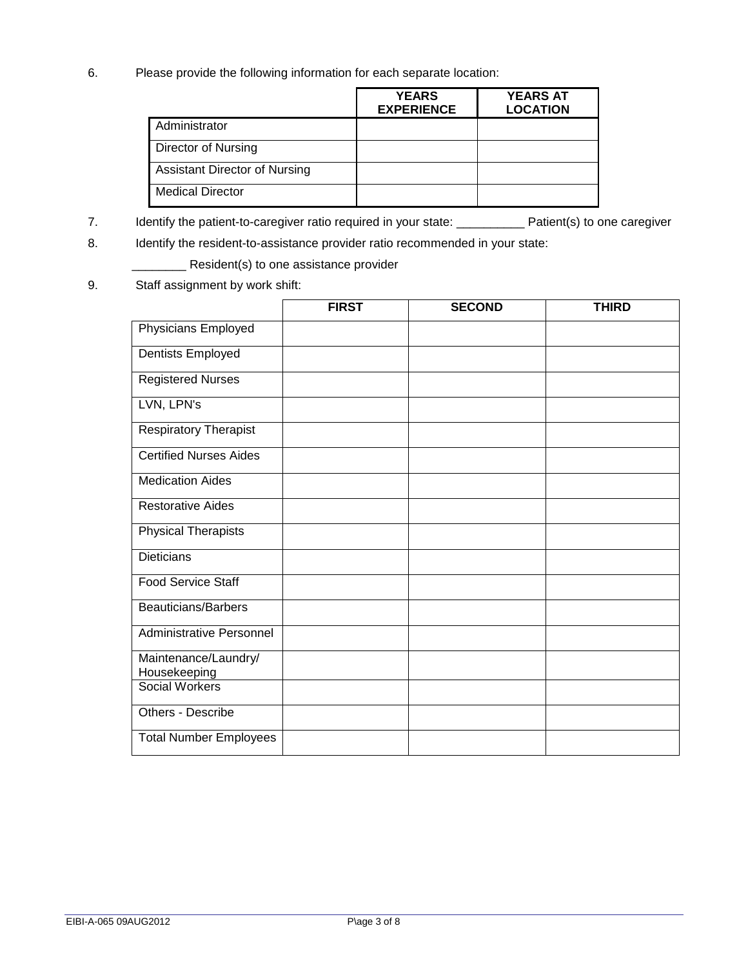6. Please provide the following information for each separate location:

|                               | <b>YEARS</b><br><b>EXPERIENCE</b> | <b>YEARS AT</b><br><b>LOCATION</b> |
|-------------------------------|-----------------------------------|------------------------------------|
| Administrator                 |                                   |                                    |
| Director of Nursing           |                                   |                                    |
| Assistant Director of Nursing |                                   |                                    |
| <b>Medical Director</b>       |                                   |                                    |

7. Identify the patient-to-caregiver ratio required in your state: \_\_\_\_\_\_\_\_\_\_\_ Patient(s) to one caregiver

8. Identify the resident-to-assistance provider ratio recommended in your state:

\_\_\_\_\_\_\_\_ Resident(s) to one assistance provider

9. Staff assignment by work shift:

|                                      | <b>FIRST</b> | <b>SECOND</b> | <b>THIRD</b> |
|--------------------------------------|--------------|---------------|--------------|
| Physicians Employed                  |              |               |              |
| Dentists Employed                    |              |               |              |
| <b>Registered Nurses</b>             |              |               |              |
| LVN, LPN's                           |              |               |              |
| <b>Respiratory Therapist</b>         |              |               |              |
| <b>Certified Nurses Aides</b>        |              |               |              |
| <b>Medication Aides</b>              |              |               |              |
| <b>Restorative Aides</b>             |              |               |              |
| <b>Physical Therapists</b>           |              |               |              |
| <b>Dieticians</b>                    |              |               |              |
| Food Service Staff                   |              |               |              |
| <b>Beauticians/Barbers</b>           |              |               |              |
| <b>Administrative Personnel</b>      |              |               |              |
| Maintenance/Laundry/<br>Housekeeping |              |               |              |
| Social Workers                       |              |               |              |
| Others - Describe                    |              |               |              |
| <b>Total Number Employees</b>        |              |               |              |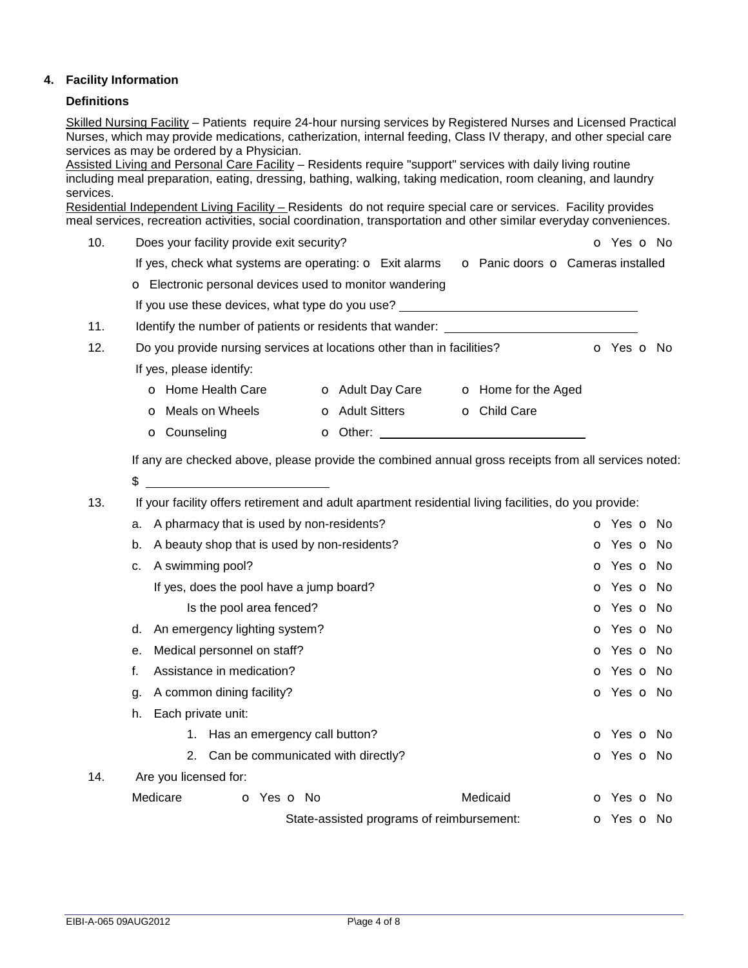## **4. Facility Information**

### **Definitions**

Skilled Nursing Facility – Patients require 24-hour nursing services by Registered Nurses and Licensed Practical Nurses, which may provide medications, catherization, internal feeding, Class IV therapy, and other special care services as may be ordered by a Physician.

Assisted Living and Personal Care Facility – Residents require "support" services with daily living routine including meal preparation, eating, dressing, bathing, walking, taking medication, room cleaning, and laundry services.

Residential Independent Living Facility – Residents do not require special care or services. Facility provides meal services, recreation activities, social coordination, transportation and other similar everyday conveniences.

- 10. Does your facility provide exit security? **Department of the Southern Community** of Yes of No
	- If yes, check what systems are operating:  $\circ$  Exit alarms  $\circ$  Panic doors  $\circ$  Cameras installed

o Electronic personal devices used to monitor wandering

If you use these devices, what type do you use?

11. Identify the number of patients or residents that wander: \_\_\_\_\_\_\_\_\_\_\_\_\_\_\_\_\_\_\_

| 12. | Do you provide nursing services at locations other than in facilities? |                         |                            | O Yes O No |
|-----|------------------------------------------------------------------------|-------------------------|----------------------------|------------|
|     | If yes, please identify:                                               |                         |                            |            |
|     | <b>o</b> Home Health Care                                              | <b>o</b> Adult Day Care | <b>o</b> Home for the Aged |            |
|     | <b>O</b> Meals on Wheels                                               | <b>O</b> Adult Sitters  | <b>o</b> Child Care        |            |
|     | <b>O</b> Counseling                                                    | O Other:                |                            |            |

If any are checked above, please provide the combined annual gross receipts from all services noted:

 $\frac{1}{2}$ 

13. If your facility offers retirement and adult apartment residential living facilities, do you provide:

|     | a. |                                              | A pharmacy that is used by non-residents? |                                           | <b>o</b> Yes <b>o</b> No |
|-----|----|----------------------------------------------|-------------------------------------------|-------------------------------------------|--------------------------|
|     | b. | A beauty shop that is used by non-residents? |                                           |                                           | <b>o</b> Yes <b>o</b> No |
|     | c. | A swimming pool?                             |                                           |                                           | <b>o</b> Yes <b>o</b> No |
|     |    |                                              | If yes, does the pool have a jump board?  |                                           | <b>o</b> Yes <b>o</b> No |
|     |    |                                              | Is the pool area fenced?                  |                                           | <b>o</b> Yes <b>o</b> No |
|     | d. |                                              | An emergency lighting system?             |                                           | <b>o</b> Yes <b>o</b> No |
|     | е. |                                              | Medical personnel on staff?               |                                           | o Yes o No               |
| f.  |    |                                              | Assistance in medication?                 |                                           | <b>o</b> Yes <b>o</b> No |
|     | g. |                                              | A common dining facility?                 |                                           | <b>o</b> Yes <b>o</b> No |
|     | h. | Each private unit:                           |                                           |                                           |                          |
|     |    | 1.                                           | Has an emergency call button?             |                                           | o Yes o No               |
|     |    |                                              | 2. Can be communicated with directly?     |                                           | <b>o</b> Yes <b>o</b> No |
| 14. |    | Are you licensed for:                        |                                           |                                           |                          |
|     |    | Medicare                                     | <b>o</b> Yes <b>o</b> No                  | Medicaid                                  | <b>o</b> Yes <b>o</b> No |
|     |    |                                              |                                           | State-assisted programs of reimbursement: | <b>o</b> Yes <b>o</b> No |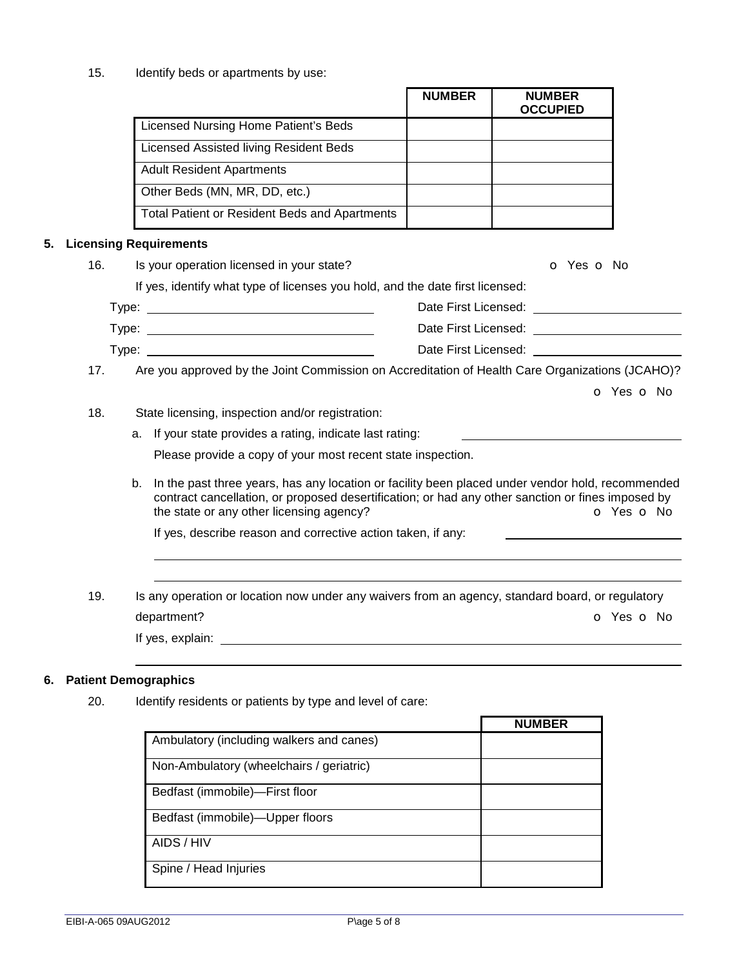15. Identify beds or apartments by use:

|     |                                                                                                                                                                                                                                                      | <b>NUMBER</b> | <b>NUMBER</b><br><b>OCCUPIED</b>                                                                                                                                                                                               |            |
|-----|------------------------------------------------------------------------------------------------------------------------------------------------------------------------------------------------------------------------------------------------------|---------------|--------------------------------------------------------------------------------------------------------------------------------------------------------------------------------------------------------------------------------|------------|
|     | Licensed Nursing Home Patient's Beds                                                                                                                                                                                                                 |               |                                                                                                                                                                                                                                |            |
|     | <b>Licensed Assisted living Resident Beds</b>                                                                                                                                                                                                        |               |                                                                                                                                                                                                                                |            |
|     | <b>Adult Resident Apartments</b>                                                                                                                                                                                                                     |               |                                                                                                                                                                                                                                |            |
|     | Other Beds (MN, MR, DD, etc.)                                                                                                                                                                                                                        |               |                                                                                                                                                                                                                                |            |
|     | <b>Total Patient or Resident Beds and Apartments</b>                                                                                                                                                                                                 |               |                                                                                                                                                                                                                                |            |
| 5.  | <b>Licensing Requirements</b>                                                                                                                                                                                                                        |               |                                                                                                                                                                                                                                |            |
| 16. | Is your operation licensed in your state?                                                                                                                                                                                                            |               | o Yes o No                                                                                                                                                                                                                     |            |
|     | If yes, identify what type of licenses you hold, and the date first licensed:                                                                                                                                                                        |               |                                                                                                                                                                                                                                |            |
|     |                                                                                                                                                                                                                                                      |               | Date First Licensed: <u>__________________________</u>                                                                                                                                                                         |            |
|     | Type: $\frac{1}{2}$                                                                                                                                                                                                                                  |               |                                                                                                                                                                                                                                |            |
|     |                                                                                                                                                                                                                                                      |               | Date First Licensed: Note that the state of the state of the state of the state of the state of the state of the state of the state of the state of the state of the state of the state of the state of the state of the state |            |
| 17. | Are you approved by the Joint Commission on Accreditation of Health Care Organizations (JCAHO)?                                                                                                                                                      |               |                                                                                                                                                                                                                                |            |
|     |                                                                                                                                                                                                                                                      |               |                                                                                                                                                                                                                                | O Yes O No |
| 18. | State licensing, inspection and/or registration:                                                                                                                                                                                                     |               |                                                                                                                                                                                                                                |            |
|     | a. If your state provides a rating, indicate last rating:                                                                                                                                                                                            |               |                                                                                                                                                                                                                                |            |
|     | Please provide a copy of your most recent state inspection.                                                                                                                                                                                          |               |                                                                                                                                                                                                                                |            |
|     | b. In the past three years, has any location or facility been placed under vendor hold, recommended<br>contract cancellation, or proposed desertification; or had any other sanction or fines imposed by<br>the state or any other licensing agency? |               |                                                                                                                                                                                                                                | o Yes o No |
|     | If yes, describe reason and corrective action taken, if any:                                                                                                                                                                                         |               |                                                                                                                                                                                                                                |            |
|     |                                                                                                                                                                                                                                                      |               |                                                                                                                                                                                                                                |            |
| 19. | Is any operation or location now under any waivers from an agency, standard board, or regulatory                                                                                                                                                     |               |                                                                                                                                                                                                                                |            |
|     |                                                                                                                                                                                                                                                      |               |                                                                                                                                                                                                                                |            |
|     | department?                                                                                                                                                                                                                                          |               |                                                                                                                                                                                                                                | O Yes O No |

# **6. Patient Demographics**

20. Identify residents or patients by type and level of care:

|                                          | <b>NUMBER</b> |
|------------------------------------------|---------------|
| Ambulatory (including walkers and canes) |               |
| Non-Ambulatory (wheelchairs / geriatric) |               |
| Bedfast (immobile)-First floor           |               |
| Bedfast (immobile)-Upper floors          |               |
| AIDS / HIV                               |               |
| Spine / Head Injuries                    |               |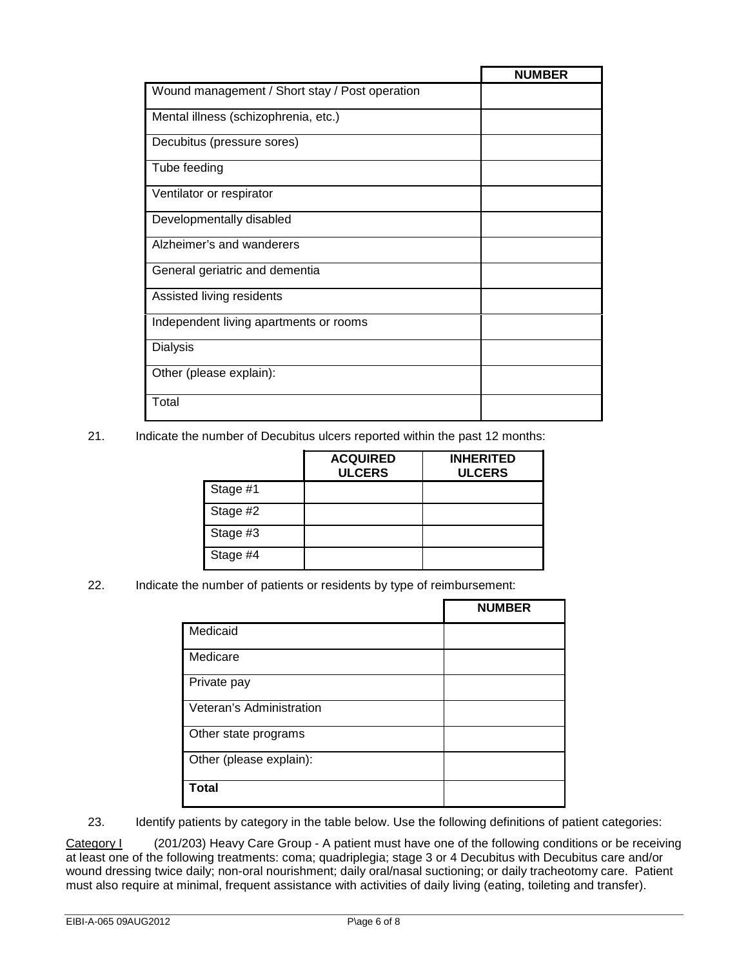|                                                | <b>NUMBER</b> |
|------------------------------------------------|---------------|
| Wound management / Short stay / Post operation |               |
| Mental illness (schizophrenia, etc.)           |               |
| Decubitus (pressure sores)                     |               |
| Tube feeding                                   |               |
| Ventilator or respirator                       |               |
| Developmentally disabled                       |               |
| Alzheimer's and wanderers                      |               |
| General geriatric and dementia                 |               |
| Assisted living residents                      |               |
| Independent living apartments or rooms         |               |
| <b>Dialysis</b>                                |               |
| Other (please explain):                        |               |
| Total                                          |               |

21. Indicate the number of Decubitus ulcers reported within the past 12 months:

|          | <b>ACQUIRED</b><br><b>ULCERS</b> | <b>INHERITED</b><br><b>ULCERS</b> |
|----------|----------------------------------|-----------------------------------|
| Stage #1 |                                  |                                   |
| Stage #2 |                                  |                                   |
| Stage #3 |                                  |                                   |
| Stage #4 |                                  |                                   |

22. Indicate the number of patients or residents by type of reimbursement:

|                          | <b>NUMBER</b> |
|--------------------------|---------------|
| Medicaid                 |               |
| Medicare                 |               |
| Private pay              |               |
| Veteran's Administration |               |
| Other state programs     |               |
| Other (please explain):  |               |
| <b>Total</b>             |               |

23. Identify patients by category in the table below. Use the following definitions of patient categories:

Category I (201/203) Heavy Care Group - A patient must have one of the following conditions or be receiving at least one of the following treatments: coma; quadriplegia; stage 3 or 4 Decubitus with Decubitus care and/or wound dressing twice daily; non-oral nourishment; daily oral/nasal suctioning; or daily tracheotomy care. Patient must also require at minimal, frequent assistance with activities of daily living (eating, toileting and transfer).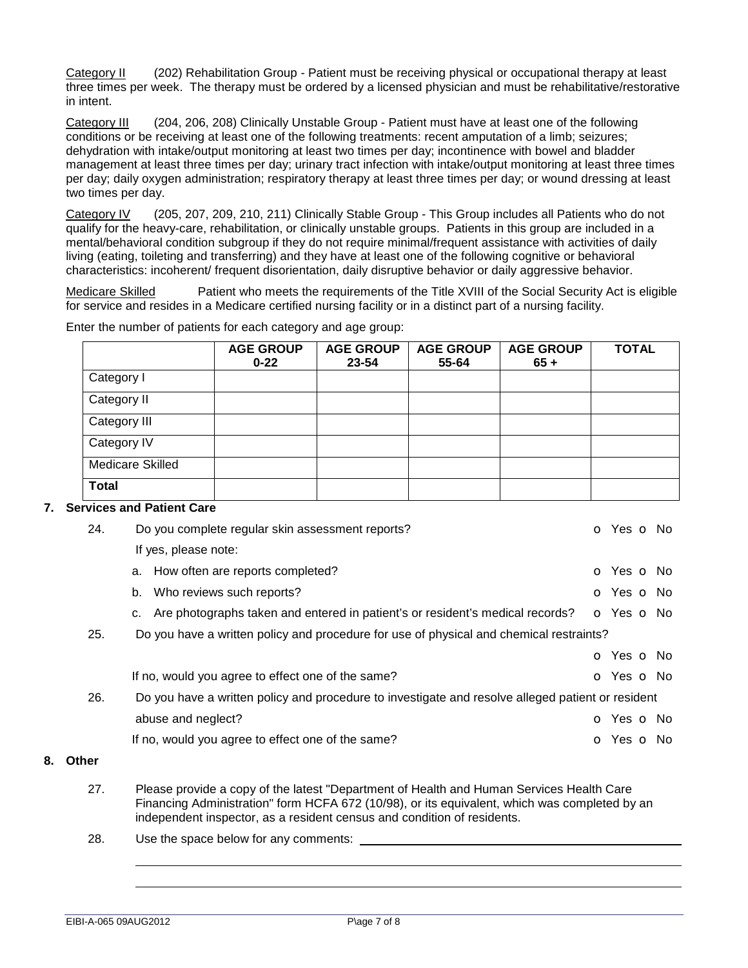Category II (202) Rehabilitation Group - Patient must be receiving physical or occupational therapy at least three times per week. The therapy must be ordered by a licensed physician and must be rehabilitative/restorative in intent.

Category III (204, 206, 208) Clinically Unstable Group - Patient must have at least one of the following conditions or be receiving at least one of the following treatments: recent amputation of a limb; seizures; dehydration with intake/output monitoring at least two times per day; incontinence with bowel and bladder management at least three times per day; urinary tract infection with intake/output monitoring at least three times per day; daily oxygen administration; respiratory therapy at least three times per day; or wound dressing at least two times per day.

Category IV (205, 207, 209, 210, 211) Clinically Stable Group - This Group includes all Patients who do not qualify for the heavy-care, rehabilitation, or clinically unstable groups. Patients in this group are included in a mental/behavioral condition subgroup if they do not require minimal/frequent assistance with activities of daily living (eating, toileting and transferring) and they have at least one of the following cognitive or behavioral characteristics: incoherent/ frequent disorientation, daily disruptive behavior or daily aggressive behavior.

Medicare Skilled Patient who meets the requirements of the Title XVIII of the Social Security Act is eligible for service and resides in a Medicare certified nursing facility or in a distinct part of a nursing facility.

|                         | <b>AGE GROUP</b><br>$0 - 22$ | <b>AGE GROUP</b><br>23-54 | <b>AGE GROUP</b><br>55-64 | <b>AGE GROUP</b><br>$65 +$ | <b>TOTAL</b> |
|-------------------------|------------------------------|---------------------------|---------------------------|----------------------------|--------------|
| Category I              |                              |                           |                           |                            |              |
| Category II             |                              |                           |                           |                            |              |
| Category III            |                              |                           |                           |                            |              |
| Category IV             |                              |                           |                           |                            |              |
| <b>Medicare Skilled</b> |                              |                           |                           |                            |              |
| <b>Total</b>            |                              |                           |                           |                            |              |

Enter the number of patients for each category and age group:

#### **7. Services and Patient Care**

| 24. | Do you complete regular skin assessment reports?                                                  | <b>O</b> Yes <b>O</b> No |  |  |
|-----|---------------------------------------------------------------------------------------------------|--------------------------|--|--|
|     | If yes, please note:                                                                              |                          |  |  |
|     | a. How often are reports completed?                                                               | O Yes O No               |  |  |
|     | b. Who reviews such reports?                                                                      | <b>O</b> Yes <b>O</b> No |  |  |
|     | c. Are photographs taken and entered in patient's or resident's medical records?                  | o Yes o No               |  |  |
| 25. | Do you have a written policy and procedure for use of physical and chemical restraints?           |                          |  |  |
|     |                                                                                                   | o Yes o No               |  |  |
|     | If no, would you agree to effect one of the same?                                                 | <b>o</b> Yes <b>o</b> No |  |  |
| 26. | Do you have a written policy and procedure to investigate and resolve alleged patient or resident |                          |  |  |
|     | abuse and neglect?                                                                                | O Yes O No               |  |  |
|     | If no, would you agree to effect one of the same?                                                 | <b>o</b> Yes <b>o</b> No |  |  |
|     |                                                                                                   |                          |  |  |

#### **8. Other**

- 27. Please provide a copy of the latest "Department of Health and Human Services Health Care Financing Administration" form HCFA 672 (10/98), or its equivalent, which was completed by an independent inspector, as a resident census and condition of residents.
- 28. Use the space below for any comments: